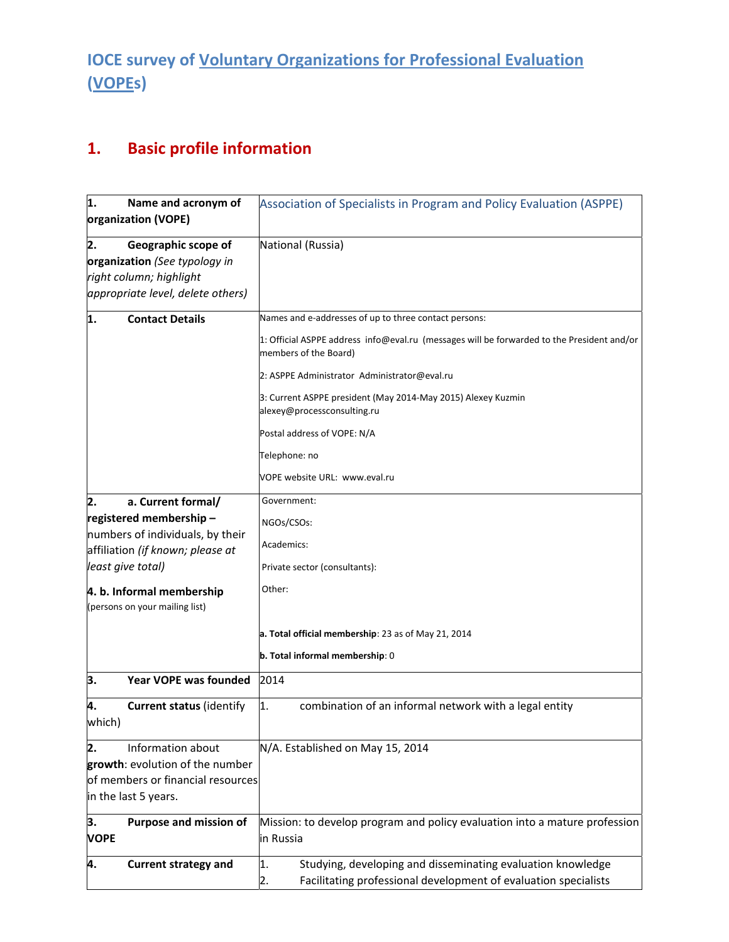## **IOCE survey of Voluntary Organizations for Professional Evaluation (VOPEs)**

## **1. Basic profile information**

| 1.<br>Name and acronym of<br>organization (VOPE)            | Association of Specialists in Program and Policy Evaluation (ASPPE)                                                 |
|-------------------------------------------------------------|---------------------------------------------------------------------------------------------------------------------|
| 2.<br>Geographic scope of                                   | National (Russia)                                                                                                   |
| organization (See typology in                               |                                                                                                                     |
| right column; highlight                                     |                                                                                                                     |
|                                                             |                                                                                                                     |
| appropriate level, delete others)                           |                                                                                                                     |
| 1.<br><b>Contact Details</b>                                | Names and e-addresses of up to three contact persons:                                                               |
|                                                             | 1: Official ASPPE address info@eval.ru (messages will be forwarded to the President and/or<br>members of the Board) |
|                                                             | 2: ASPPE Administrator Administrator@eval.ru                                                                        |
|                                                             | 3: Current ASPPE president (May 2014-May 2015) Alexey Kuzmin<br>alexey@processconsulting.ru                         |
|                                                             | Postal address of VOPE: N/A                                                                                         |
|                                                             | Telephone: no                                                                                                       |
|                                                             | VOPE website URL: www.eval.ru                                                                                       |
| a. Current formal/<br>2.                                    | Government:                                                                                                         |
| registered membership-<br>numbers of individuals, by their  | NGOs/CSOs:                                                                                                          |
| affiliation (if known; please at                            | Academics:                                                                                                          |
| least give total)                                           | Private sector (consultants):                                                                                       |
| 4. b. Informal membership<br>(persons on your mailing list) | Other:                                                                                                              |
|                                                             | a. Total official membership: 23 as of May 21, 2014                                                                 |
|                                                             | b. Total informal membership: 0                                                                                     |
| 3.<br><b>Year VOPE was founded</b>                          | 2014                                                                                                                |
| 4.<br><b>Current status (identify</b><br>which)             | combination of an informal network with a legal entity<br>1.                                                        |
| 2.<br>Information about                                     | N/A. Established on May 15, 2014                                                                                    |
| growth: evolution of the number                             |                                                                                                                     |
| of members or financial resources                           |                                                                                                                     |
| in the last 5 years.                                        |                                                                                                                     |
| З.<br>Purpose and mission of                                | Mission: to develop program and policy evaluation into a mature profession                                          |
| <b>VOPE</b>                                                 | in Russia                                                                                                           |
| <b>Current strategy and</b><br>4.                           | Studying, developing and disseminating evaluation knowledge<br>1.                                                   |
|                                                             | Facilitating professional development of evaluation specialists<br>2.                                               |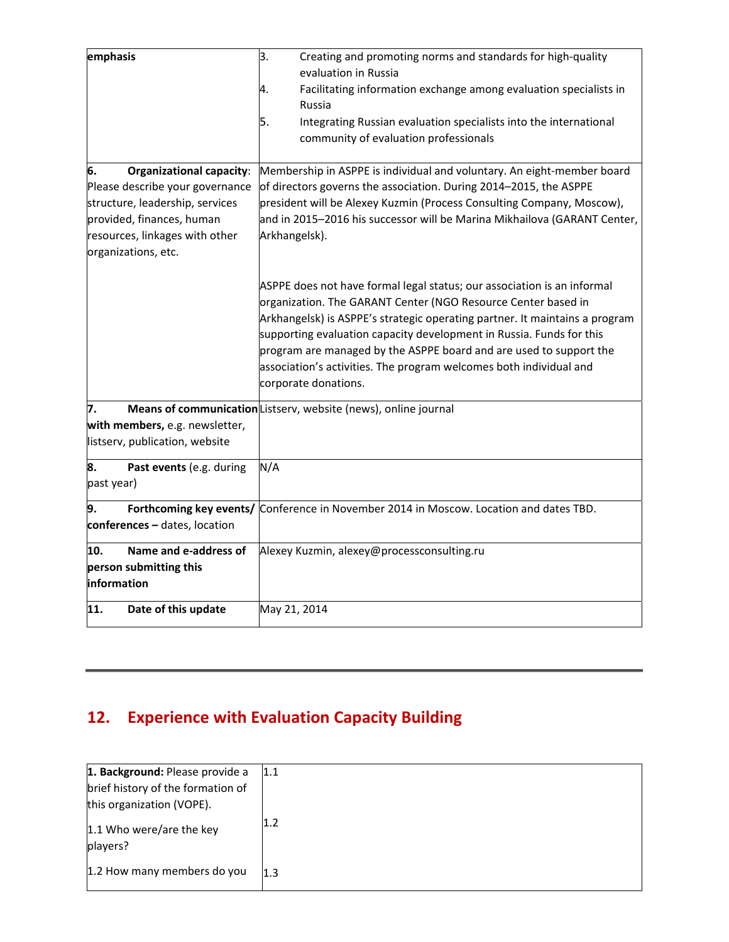| emphasis                                                                                                                                                                                          | 3.<br>Creating and promoting norms and standards for high-quality<br>evaluation in Russia<br>Facilitating information exchange among evaluation specialists in<br>4.<br>Russia<br>5.<br>Integrating Russian evaluation specialists into the international                                                                                                                                                                                                           |
|---------------------------------------------------------------------------------------------------------------------------------------------------------------------------------------------------|---------------------------------------------------------------------------------------------------------------------------------------------------------------------------------------------------------------------------------------------------------------------------------------------------------------------------------------------------------------------------------------------------------------------------------------------------------------------|
|                                                                                                                                                                                                   | community of evaluation professionals                                                                                                                                                                                                                                                                                                                                                                                                                               |
| <b>Organizational capacity:</b><br>6.<br>Please describe your governance<br>structure, leadership, services<br>provided, finances, human<br>resources, linkages with other<br>organizations, etc. | Membership in ASPPE is individual and voluntary. An eight-member board<br>of directors governs the association. During 2014-2015, the ASPPE<br>president will be Alexey Kuzmin (Process Consulting Company, Moscow),<br>and in 2015-2016 his successor will be Marina Mikhailova (GARANT Center,<br>Arkhangelsk).                                                                                                                                                   |
|                                                                                                                                                                                                   | ASPPE does not have formal legal status; our association is an informal<br>organization. The GARANT Center (NGO Resource Center based in<br>Arkhangelsk) is ASPPE's strategic operating partner. It maintains a program<br>supporting evaluation capacity development in Russia. Funds for this<br>program are managed by the ASPPE board and are used to support the<br>association's activities. The program welcomes both individual and<br>corporate donations. |
| 7.                                                                                                                                                                                                | Means of communication Listserv, website (news), online journal                                                                                                                                                                                                                                                                                                                                                                                                     |
| with members, e.g. newsletter,<br>listserv, publication, website                                                                                                                                  |                                                                                                                                                                                                                                                                                                                                                                                                                                                                     |
| 8.<br>Past events (e.g. during<br>past year)                                                                                                                                                      | N/A                                                                                                                                                                                                                                                                                                                                                                                                                                                                 |
| Forthcoming key events/<br>9.<br>conferences - dates, location                                                                                                                                    | Conference in November 2014 in Moscow. Location and dates TBD.                                                                                                                                                                                                                                                                                                                                                                                                      |
| Name and e-address of<br>10.<br>person submitting this<br>information                                                                                                                             | Alexey Kuzmin, alexey@processconsulting.ru                                                                                                                                                                                                                                                                                                                                                                                                                          |
| 11.<br>Date of this update                                                                                                                                                                        | May 21, 2014                                                                                                                                                                                                                                                                                                                                                                                                                                                        |

## **12. Experience with Evaluation Capacity Building**

| 1. Background: Please provide a      | 1.1 |
|--------------------------------------|-----|
| brief history of the formation of    |     |
| this organization (VOPE).            |     |
| 1.1 Who were/are the key<br>players? | 1.2 |
| 1.2 How many members do you          | 1.3 |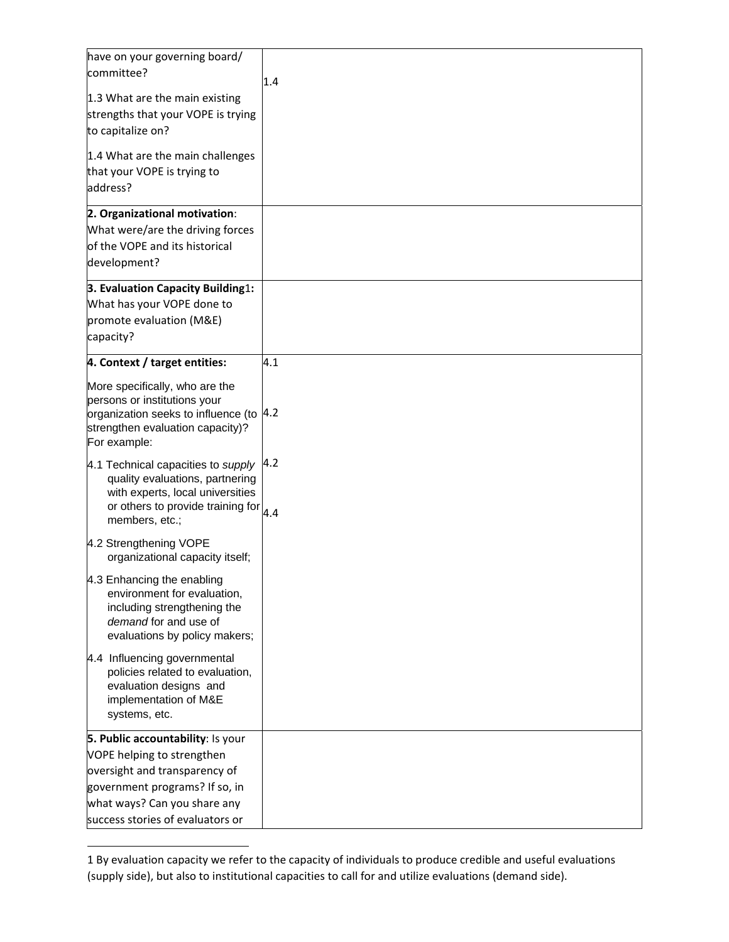| have on your governing board/<br>committee?                                                                                                                                    |     |
|--------------------------------------------------------------------------------------------------------------------------------------------------------------------------------|-----|
|                                                                                                                                                                                | 1.4 |
| 1.3 What are the main existing                                                                                                                                                 |     |
| strengths that your VOPE is trying                                                                                                                                             |     |
| to capitalize on?                                                                                                                                                              |     |
| 1.4 What are the main challenges                                                                                                                                               |     |
| that your VOPE is trying to                                                                                                                                                    |     |
| address?                                                                                                                                                                       |     |
| 2. Organizational motivation:                                                                                                                                                  |     |
| What were/are the driving forces                                                                                                                                               |     |
| of the VOPE and its historical                                                                                                                                                 |     |
| development?                                                                                                                                                                   |     |
| 3. Evaluation Capacity Building1:                                                                                                                                              |     |
| What has your VOPE done to                                                                                                                                                     |     |
| promote evaluation (M&E)                                                                                                                                                       |     |
| capacity?                                                                                                                                                                      |     |
| 4. Context / target entities:                                                                                                                                                  | 4.1 |
| More specifically, who are the                                                                                                                                                 |     |
| persons or institutions your                                                                                                                                                   |     |
| organization seeks to influence (to                                                                                                                                            | 4.2 |
| strengthen evaluation capacity)?                                                                                                                                               |     |
| For example:                                                                                                                                                                   |     |
| 4.1 Technical capacities to supply<br>quality evaluations, partnering<br>with experts, local universities<br>or others to provide training for $\vert_{4.4}$<br>members, etc.; | 4.2 |
| 4.2 Strengthening VOPE<br>organizational capacity itself;                                                                                                                      |     |
|                                                                                                                                                                                |     |
| 4.3 Enhancing the enabling<br>environment for evaluation,                                                                                                                      |     |
| including strengthening the                                                                                                                                                    |     |
| demand for and use of                                                                                                                                                          |     |
| evaluations by policy makers;                                                                                                                                                  |     |
| 4.4 Influencing governmental                                                                                                                                                   |     |
| policies related to evaluation,                                                                                                                                                |     |
| evaluation designs and                                                                                                                                                         |     |
| implementation of M&E                                                                                                                                                          |     |
| systems, etc.                                                                                                                                                                  |     |
| 5. Public accountability: Is your                                                                                                                                              |     |
| VOPE helping to strengthen                                                                                                                                                     |     |
| oversight and transparency of                                                                                                                                                  |     |
| government programs? If so, in                                                                                                                                                 |     |
| what ways? Can you share any                                                                                                                                                   |     |
| success stories of evaluators or                                                                                                                                               |     |

 $\overline{a}$ 

<sup>1</sup> By evaluation capacity we refer to the capacity of individuals to produce credible and useful evaluations (supply side), but also to institutional capacities to call for and utilize evaluations (demand side).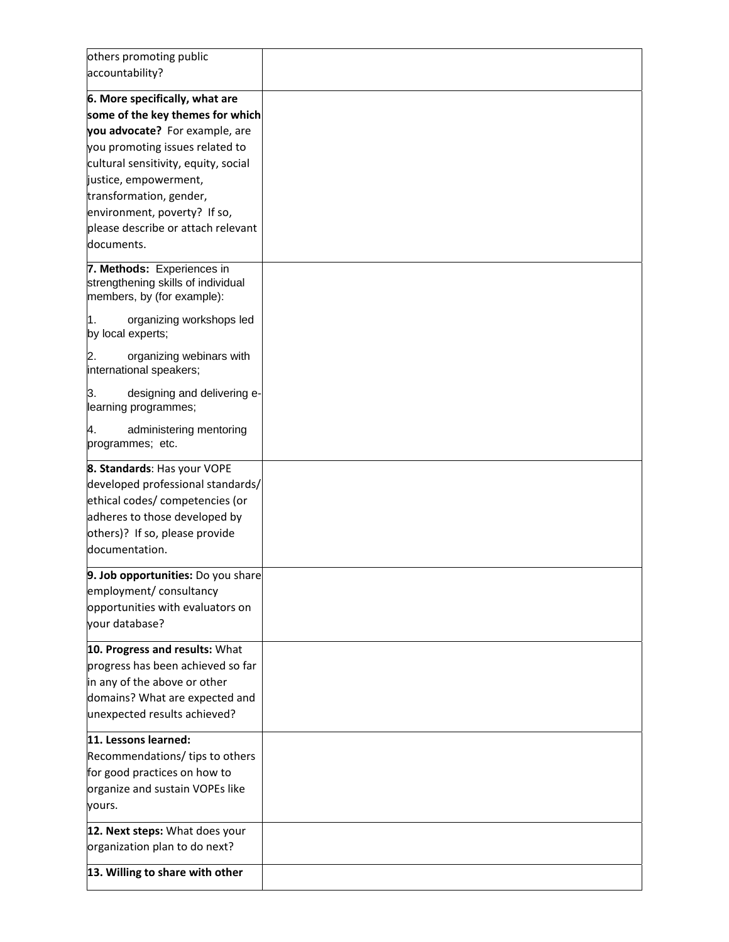| others promoting public                                                                        |  |
|------------------------------------------------------------------------------------------------|--|
| accountability?                                                                                |  |
| 6. More specifically, what are                                                                 |  |
| some of the key themes for which                                                               |  |
| you advocate? For example, are                                                                 |  |
| you promoting issues related to                                                                |  |
| cultural sensitivity, equity, social                                                           |  |
| justice, empowerment,                                                                          |  |
| transformation, gender,                                                                        |  |
| environment, poverty? If so,                                                                   |  |
| please describe or attach relevant                                                             |  |
| documents.                                                                                     |  |
|                                                                                                |  |
| 7. Methods: Experiences in<br>strengthening skills of individual<br>members, by (for example): |  |
| organizing workshops led<br>l1.<br>by local experts;                                           |  |
| 2.<br>organizing webinars with<br>international speakers;                                      |  |
| 3.<br>designing and delivering e-<br>learning programmes;                                      |  |
| administering mentoring<br>4.<br>programmes; etc.                                              |  |
| 8. Standards: Has your VOPE                                                                    |  |
| developed professional standards/                                                              |  |
| ethical codes/ competencies (or                                                                |  |
| adheres to those developed by                                                                  |  |
| others)? If so, please provide                                                                 |  |
| documentation.                                                                                 |  |
| 9. Job opportunities: Do you share                                                             |  |
| employment/ consultancy                                                                        |  |
| opportunities with evaluators on                                                               |  |
| your database?                                                                                 |  |
| 10. Progress and results: What                                                                 |  |
| progress has been achieved so far                                                              |  |
| in any of the above or other                                                                   |  |
| domains? What are expected and                                                                 |  |
| unexpected results achieved?                                                                   |  |
| 11. Lessons learned:                                                                           |  |
| Recommendations/ tips to others                                                                |  |
| for good practices on how to                                                                   |  |
| organize and sustain VOPEs like                                                                |  |
| yours.                                                                                         |  |
| 12. Next steps: What does your                                                                 |  |
| organization plan to do next?                                                                  |  |
| 13. Willing to share with other                                                                |  |